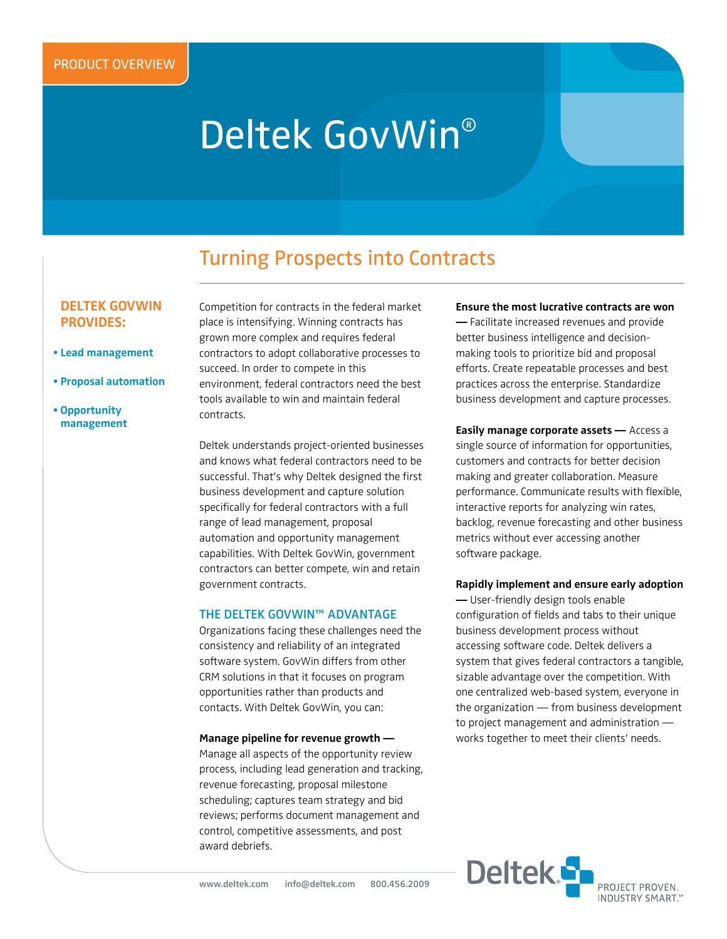# Deltek GovWin®

# Turning Prospects into Contracts

## **Deltek Govwin provides:**

- **Lead management**
- **Proposal automation**
- **Opportunity management**

Competition for contracts in the federal market place is intensifying. Winning contracts has grown more complex and requires federal contractors to adopt collaborative processes to succeed. In order to compete in this environment, federal contractors need the best tools available to win and maintain federal contracts.

Deltek understands project-oriented businesses and knows what federal contractors need to be successful. That's why Deltek designed the first business development and capture solution specifically for federal contractors with a full range of lead management, proposal automation and opportunity management capabilities. With Deltek GovWin, government contractors can better compete, win and retain government contracts.

#### **the deltek govwin™ advantage**

Organizations facing these challenges need the consistency and reliability of an integrated software system. GovWin differs from other CRM solutions in that it focuses on program opportunities rather than products and contacts. With Deltek GovWin, you can:

#### **Manage pipeline for revenue growth —**

Manage all aspects of the opportunity review process, including lead generation and tracking, revenue forecasting, proposal milestone scheduling; captures team strategy and bid reviews; performs document management and control, competitive assessments, and post award debriefs.

#### **Ensure the most lucrative contracts are won**

**—** Facilitate increased revenues and provide better business intelligence and decisionmaking tools to prioritize bid and proposal efforts. Create repeatable processes and best practices across the enterprise. Standardize business development and capture processes.

**Easily manage corporate assets —** Access a single source of information for opportunities, customers and contracts for better decision making and greater collaboration. Measure performance. Communicate results with flexible, interactive reports for analyzing win rates, backlog, revenue forecasting and other business metrics without ever accessing another software package.

#### **Rapidly implement and ensure early adoption**

**—** User-friendly design tools enable configuration of fields and tabs to their unique business development process without accessing software code. Deltek delivers a system that gives federal contractors a tangible, sizable advantage over the competition. With one centralized web-based system, everyone in the organization — from business development to project management and administration works together to meet their clients' needs.